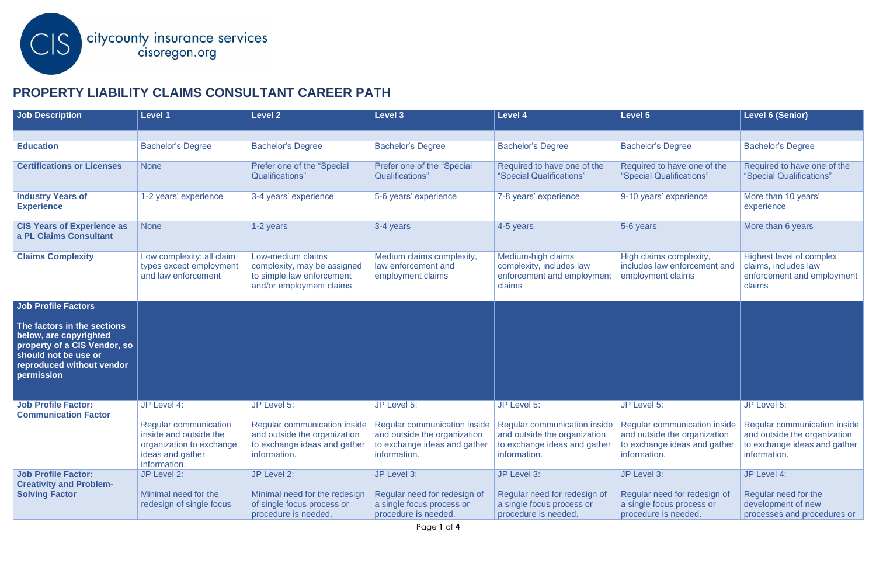

## **PROPERTY LIABILITY CLAIMS CONSULTANT CAREER PATH**

| <b>Job Description</b>                                                                                                                                   | <b>Level 1</b>                                                                                                                        | <b>Level 2</b>                                                                                            | <b>Level 3</b>                                                                                                                                             | <b>Level 4</b>                                                                                   | <b>Level 5</b>                                                                                                                                             | <b>Level 6 (Senior)</b>                                                                                                            |
|----------------------------------------------------------------------------------------------------------------------------------------------------------|---------------------------------------------------------------------------------------------------------------------------------------|-----------------------------------------------------------------------------------------------------------|------------------------------------------------------------------------------------------------------------------------------------------------------------|--------------------------------------------------------------------------------------------------|------------------------------------------------------------------------------------------------------------------------------------------------------------|------------------------------------------------------------------------------------------------------------------------------------|
|                                                                                                                                                          |                                                                                                                                       |                                                                                                           |                                                                                                                                                            |                                                                                                  |                                                                                                                                                            |                                                                                                                                    |
| <b>Education</b>                                                                                                                                         | <b>Bachelor's Degree</b>                                                                                                              | <b>Bachelor's Degree</b>                                                                                  | <b>Bachelor's Degree</b>                                                                                                                                   | <b>Bachelor's Degree</b>                                                                         | <b>Bachelor's Degree</b>                                                                                                                                   | <b>Bachelor's Degree</b>                                                                                                           |
| <b>Certifications or Licenses</b>                                                                                                                        | <b>None</b>                                                                                                                           | Prefer one of the "Special<br>Qualifications"                                                             | Prefer one of the "Special<br>Qualifications"                                                                                                              | Required to have one of the<br>"Special Qualifications"                                          | Required to have one of the<br>"Special Qualifications"                                                                                                    | Required to have one of the<br>"Special Qualifications"                                                                            |
| <b>Industry Years of</b><br><b>Experience</b>                                                                                                            | 1-2 years' experience                                                                                                                 | 3-4 years' experience                                                                                     | 5-6 years' experience                                                                                                                                      | 7-8 years' experience                                                                            | 9-10 years' experience                                                                                                                                     | More than 10 years'<br>experience                                                                                                  |
| <b>CIS Years of Experience as</b><br>a PL Claims Consultant                                                                                              | <b>None</b>                                                                                                                           | 1-2 years                                                                                                 | 3-4 years                                                                                                                                                  | 4-5 years                                                                                        | 5-6 years                                                                                                                                                  | More than 6 years                                                                                                                  |
| <b>Claims Complexity</b>                                                                                                                                 | Low complexity; all claim<br>types except employment<br>and law enforcement                                                           | Low-medium claims<br>complexity, may be assigned<br>to simple law enforcement<br>and/or employment claims | Medium claims complexity,<br>law enforcement and<br>employment claims                                                                                      | Medium-high claims<br>complexity, includes law<br>enforcement and employment<br>claims           | High claims complexity,<br>includes law enforcement and<br>employment claims                                                                               | Highest level of complex<br>claims, includes law<br>enforcement and employment<br>claims                                           |
| <b>Job Profile Factors</b>                                                                                                                               |                                                                                                                                       |                                                                                                           |                                                                                                                                                            |                                                                                                  |                                                                                                                                                            |                                                                                                                                    |
| The factors in the sections<br>below, are copyrighted<br>property of a CIS Vendor, so<br>should not be use or<br>reproduced without vendor<br>permission |                                                                                                                                       |                                                                                                           |                                                                                                                                                            |                                                                                                  |                                                                                                                                                            |                                                                                                                                    |
| <b>Job Profile Factor:</b><br><b>Communication Factor</b>                                                                                                | JP Level 4:<br><b>Regular communication</b><br>inside and outside the<br>organization to exchange<br>ideas and gather<br>information. | JP Level 5:<br>and outside the organization<br>to exchange ideas and gather<br>information.               | JP Level 5:<br>Regular communication inside   Regular communication inside<br>and outside the organization<br>to exchange ideas and gather<br>information. | JP Level 5:<br>and outside the organization<br>to exchange ideas and gather<br>information.      | JP Level 5:<br>Regular communication inside   Regular communication inside<br>and outside the organization<br>to exchange ideas and gather<br>information. | JP Level 5:<br><b>Regular communication inside</b><br>and outside the organization<br>to exchange ideas and gather<br>information. |
| <b>Job Profile Factor:</b><br><b>Creativity and Problem-</b><br><b>Solving Factor</b>                                                                    | JP Level 2:<br>Minimal need for the<br>redesign of single focus                                                                       | JP Level 2:<br>Minimal need for the redesign<br>of single focus process or<br>procedure is needed.        | JP Level 3:<br>Regular need for redesign of<br>a single focus process or<br>procedure is needed.                                                           | JP Level 3:<br>Regular need for redesign of<br>a single focus process or<br>procedure is needed. | JP Level 3:<br>Regular need for redesign of<br>a single focus process or<br>procedure is needed.                                                           | JP Level 4:<br>Regular need for the<br>development of new<br>processes and procedures or                                           |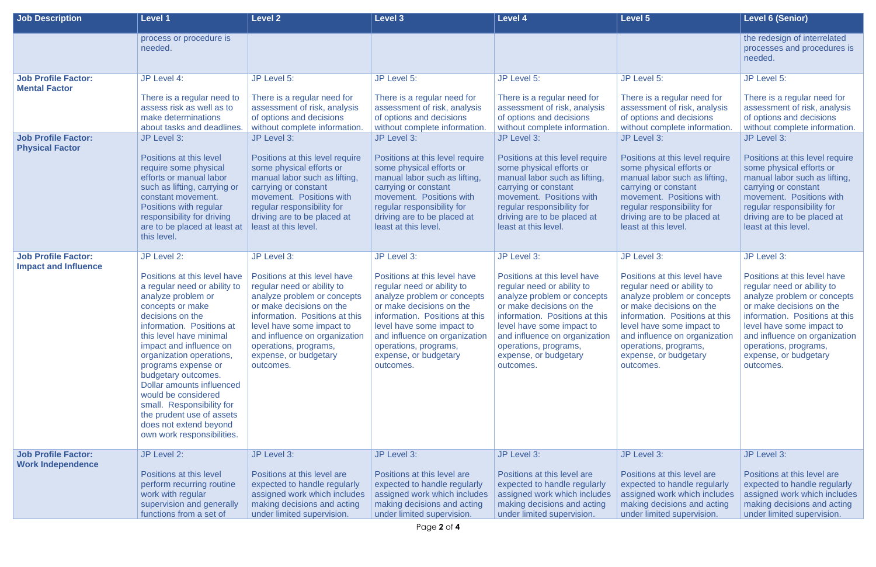| Job Description                                           | <b>Level 1</b>                                                                                                                                                                                                                                                                                                                                                                                                                                                       | <b>Level 2</b>                                                                                                                                                                                                                                                                       | <b>Level 3</b>                                                                                                                                                                                                                                                                       | <b>Level 4</b>                                                                                                                                                                                                                                                                       | <b>Level 5</b>                                                                                                                                                                                                                                                                       | <b>Level 6 (Senior)</b>                                                                                                                                                                                                                                                              |
|-----------------------------------------------------------|----------------------------------------------------------------------------------------------------------------------------------------------------------------------------------------------------------------------------------------------------------------------------------------------------------------------------------------------------------------------------------------------------------------------------------------------------------------------|--------------------------------------------------------------------------------------------------------------------------------------------------------------------------------------------------------------------------------------------------------------------------------------|--------------------------------------------------------------------------------------------------------------------------------------------------------------------------------------------------------------------------------------------------------------------------------------|--------------------------------------------------------------------------------------------------------------------------------------------------------------------------------------------------------------------------------------------------------------------------------------|--------------------------------------------------------------------------------------------------------------------------------------------------------------------------------------------------------------------------------------------------------------------------------------|--------------------------------------------------------------------------------------------------------------------------------------------------------------------------------------------------------------------------------------------------------------------------------------|
|                                                           | process or procedure is<br>needed.                                                                                                                                                                                                                                                                                                                                                                                                                                   |                                                                                                                                                                                                                                                                                      |                                                                                                                                                                                                                                                                                      |                                                                                                                                                                                                                                                                                      |                                                                                                                                                                                                                                                                                      | the redesign of interrelated<br>processes and procedures is<br>needed.                                                                                                                                                                                                               |
| <b>Job Profile Factor:</b><br><b>Mental Factor</b>        | JP Level 4:                                                                                                                                                                                                                                                                                                                                                                                                                                                          | JP Level 5:                                                                                                                                                                                                                                                                          | JP Level 5:                                                                                                                                                                                                                                                                          | JP Level 5:                                                                                                                                                                                                                                                                          | JP Level 5:                                                                                                                                                                                                                                                                          | JP Level 5:                                                                                                                                                                                                                                                                          |
|                                                           | There is a regular need to<br>assess risk as well as to<br>make determinations<br>about tasks and deadlines.                                                                                                                                                                                                                                                                                                                                                         | There is a regular need for<br>assessment of risk, analysis<br>of options and decisions<br>without complete information.                                                                                                                                                             | There is a regular need for<br>assessment of risk, analysis<br>of options and decisions<br>without complete information.                                                                                                                                                             | There is a regular need for<br>assessment of risk, analysis<br>of options and decisions<br>without complete information                                                                                                                                                              | There is a regular need for<br>assessment of risk, analysis<br>of options and decisions<br>without complete information                                                                                                                                                              | There is a regular need for<br>assessment of risk, analysis<br>of options and decisions<br>without complete information.                                                                                                                                                             |
| <b>Job Profile Factor:</b><br><b>Physical Factor</b>      | JP Level 3:                                                                                                                                                                                                                                                                                                                                                                                                                                                          | JP Level 3:                                                                                                                                                                                                                                                                          | JP Level 3:                                                                                                                                                                                                                                                                          | JP Level 3:                                                                                                                                                                                                                                                                          | JP Level 3:                                                                                                                                                                                                                                                                          | JP Level 3:                                                                                                                                                                                                                                                                          |
|                                                           | Positions at this level<br>require some physical<br>efforts or manual labor<br>such as lifting, carrying or<br>constant movement.<br>Positions with regular<br>responsibility for driving<br>are to be placed at least at<br>this level.                                                                                                                                                                                                                             | Positions at this level require<br>some physical efforts or<br>manual labor such as lifting,<br>carrying or constant<br>movement. Positions with<br>regular responsibility for<br>driving are to be placed at<br>least at this level.                                                | Positions at this level require<br>some physical efforts or<br>manual labor such as lifting.<br>carrying or constant<br>movement. Positions with<br>regular responsibility for<br>driving are to be placed at<br>least at this level.                                                | Positions at this level require<br>some physical efforts or<br>manual labor such as lifting,<br>carrying or constant<br>movement. Positions with<br>regular responsibility for<br>driving are to be placed at<br>least at this level.                                                | Positions at this level require<br>some physical efforts or<br>manual labor such as lifting,<br>carrying or constant<br>movement. Positions with<br>regular responsibility for<br>driving are to be placed at<br>least at this level.                                                | Positions at this level require<br>some physical efforts or<br>manual labor such as lifting,<br>carrying or constant<br>movement. Positions with<br>regular responsibility for<br>driving are to be placed at<br>least at this level.                                                |
| <b>Job Profile Factor:</b><br><b>Impact and Influence</b> | JP Level 2:                                                                                                                                                                                                                                                                                                                                                                                                                                                          | JP Level 3:                                                                                                                                                                                                                                                                          | JP Level 3:                                                                                                                                                                                                                                                                          | JP Level 3:                                                                                                                                                                                                                                                                          | JP Level 3:                                                                                                                                                                                                                                                                          | JP Level 3:                                                                                                                                                                                                                                                                          |
|                                                           | Positions at this level have<br>a regular need or ability to<br>analyze problem or<br>concepts or make<br>decisions on the<br>information. Positions at<br>this level have minimal<br>impact and influence on<br>organization operations,<br>programs expense or<br>budgetary outcomes.<br><b>Dollar amounts influenced</b><br>would be considered<br>small. Responsibility for<br>the prudent use of assets<br>does not extend beyond<br>own work responsibilities. | Positions at this level have<br>regular need or ability to<br>analyze problem or concepts<br>or make decisions on the<br>information. Positions at this<br>level have some impact to<br>and influence on organization<br>operations, programs,<br>expense, or budgetary<br>outcomes. | Positions at this level have<br>regular need or ability to<br>analyze problem or concepts<br>or make decisions on the<br>information. Positions at this<br>level have some impact to<br>and influence on organization<br>operations, programs,<br>expense, or budgetary<br>outcomes. | Positions at this level have<br>regular need or ability to<br>analyze problem or concepts<br>or make decisions on the<br>information. Positions at this<br>level have some impact to<br>and influence on organization<br>operations, programs,<br>expense, or budgetary<br>outcomes. | Positions at this level have<br>regular need or ability to<br>analyze problem or concepts<br>or make decisions on the<br>information. Positions at this<br>level have some impact to<br>and influence on organization<br>operations, programs,<br>expense, or budgetary<br>outcomes. | Positions at this level have<br>regular need or ability to<br>analyze problem or concepts<br>or make decisions on the<br>information. Positions at this<br>level have some impact to<br>and influence on organization<br>operations, programs,<br>expense, or budgetary<br>outcomes. |
| <b>Job Profile Factor:</b><br><b>Work Independence</b>    | JP Level 2:                                                                                                                                                                                                                                                                                                                                                                                                                                                          | JP Level 3:                                                                                                                                                                                                                                                                          | JP Level 3:                                                                                                                                                                                                                                                                          | JP Level 3:                                                                                                                                                                                                                                                                          | JP Level 3:                                                                                                                                                                                                                                                                          | JP Level 3:                                                                                                                                                                                                                                                                          |
|                                                           | Positions at this level<br>perform recurring routine<br>work with regular<br>supervision and generally<br>functions from a set of                                                                                                                                                                                                                                                                                                                                    | Positions at this level are<br>expected to handle regularly<br>assigned work which includes<br>making decisions and acting<br>under limited supervision.                                                                                                                             | Positions at this level are<br>expected to handle regularly<br>assigned work which includes<br>making decisions and acting<br>under limited supervision.                                                                                                                             | Positions at this level are<br>expected to handle regularly<br>assigned work which includes<br>making decisions and acting<br>under limited supervision.                                                                                                                             | Positions at this level are<br>expected to handle regularly<br>assigned work which includes<br>making decisions and acting<br>under limited supervision.                                                                                                                             | Positions at this level are<br>expected to handle regularly<br>assigned work which includes<br>making decisions and acting<br>under limited supervision.                                                                                                                             |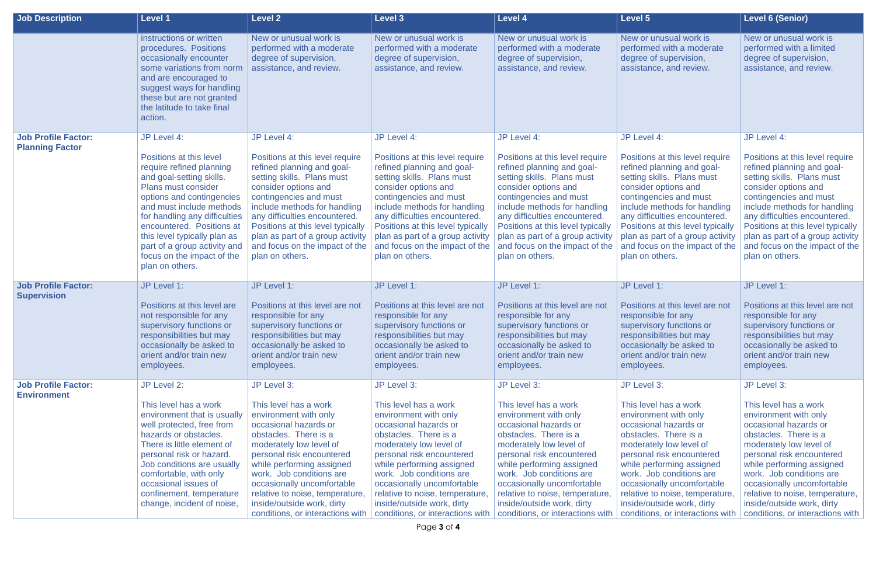| <b>Job Description</b>                               | <b>Level 1</b>                                                                                                                                                                                                                                                                                                                                                | <b>Level 2</b>                                                                                                                                                                                                                                                                                                                                                      | <b>Level 3</b>                                                                                                                                                                                                                                                                                                                                                      | <b>Level 4</b>                                                                                                                                                                                                                                                                                                                                                      | <b>Level 5</b>                                                                                                                                                                                                                                                                                                                                                      | <b>Level 6 (Senior)</b>                                                                                                                                                                                                                                                                                                                                             |
|------------------------------------------------------|---------------------------------------------------------------------------------------------------------------------------------------------------------------------------------------------------------------------------------------------------------------------------------------------------------------------------------------------------------------|---------------------------------------------------------------------------------------------------------------------------------------------------------------------------------------------------------------------------------------------------------------------------------------------------------------------------------------------------------------------|---------------------------------------------------------------------------------------------------------------------------------------------------------------------------------------------------------------------------------------------------------------------------------------------------------------------------------------------------------------------|---------------------------------------------------------------------------------------------------------------------------------------------------------------------------------------------------------------------------------------------------------------------------------------------------------------------------------------------------------------------|---------------------------------------------------------------------------------------------------------------------------------------------------------------------------------------------------------------------------------------------------------------------------------------------------------------------------------------------------------------------|---------------------------------------------------------------------------------------------------------------------------------------------------------------------------------------------------------------------------------------------------------------------------------------------------------------------------------------------------------------------|
|                                                      | instructions or written<br>procedures. Positions<br>occasionally encounter<br>some variations from norm<br>and are encouraged to<br>suggest ways for handling<br>these but are not granted<br>the latitude to take final<br>action.                                                                                                                           | New or unusual work is<br>performed with a moderate<br>degree of supervision,<br>assistance, and review.                                                                                                                                                                                                                                                            | New or unusual work is<br>performed with a moderate<br>degree of supervision,<br>assistance, and review.                                                                                                                                                                                                                                                            | New or unusual work is<br>performed with a moderate<br>degree of supervision,<br>assistance, and review.                                                                                                                                                                                                                                                            | New or unusual work is<br>performed with a moderate<br>degree of supervision,<br>assistance, and review.                                                                                                                                                                                                                                                            | New or unusual work is<br>performed with a limited<br>degree of supervision,<br>assistance, and review.                                                                                                                                                                                                                                                             |
| <b>Job Profile Factor:</b><br><b>Planning Factor</b> | JP Level 4:<br>Positions at this level<br>require refined planning<br>and goal-setting skills.<br>Plans must consider<br>options and contingencies<br>and must include methods<br>for handling any difficulties<br>encountered. Positions at<br>this level typically plan as<br>part of a group activity and<br>focus on the impact of the<br>plan on others. | JP Level 4:<br>Positions at this level require<br>refined planning and goal-<br>setting skills. Plans must<br>consider options and<br>contingencies and must<br>include methods for handling<br>any difficulties encountered.<br>Positions at this level typically<br>plan as part of a group activity<br>and focus on the impact of the<br>plan on others.         | JP Level 4:<br>Positions at this level require<br>refined planning and goal-<br>setting skills. Plans must<br>consider options and<br>contingencies and must<br>include methods for handling<br>any difficulties encountered.<br>Positions at this level typically<br>plan as part of a group activity<br>and focus on the impact of the<br>plan on others.         | JP Level 4:<br>Positions at this level require<br>refined planning and goal-<br>setting skills. Plans must<br>consider options and<br>contingencies and must<br>include methods for handling<br>any difficulties encountered.<br>Positions at this level typically<br>plan as part of a group activity<br>and focus on the impact of the<br>plan on others.         | JP Level 4:<br>Positions at this level require<br>refined planning and goal-<br>setting skills. Plans must<br>consider options and<br>contingencies and must<br>include methods for handling<br>any difficulties encountered.<br>Positions at this level typically<br>plan as part of a group activity<br>and focus on the impact of the<br>plan on others.         | JP Level 4:<br>Positions at this level require<br>refined planning and goal-<br>setting skills. Plans must<br>consider options and<br>contingencies and must<br>include methods for handling<br>any difficulties encountered.<br>Positions at this level typically<br>plan as part of a group activity<br>and focus on the impact of the<br>plan on others.         |
| <b>Job Profile Factor:</b><br><b>Supervision</b>     | JP Level 1:<br>Positions at this level are<br>not responsible for any<br>supervisory functions or<br>responsibilities but may<br>occasionally be asked to<br>orient and/or train new<br>employees.                                                                                                                                                            | JP Level 1:<br>Positions at this level are not<br>responsible for any<br>supervisory functions or<br>responsibilities but may<br>occasionally be asked to<br>orient and/or train new<br>employees.                                                                                                                                                                  | JP Level 1:<br>Positions at this level are not<br>responsible for any<br>supervisory functions or<br>responsibilities but may<br>occasionally be asked to<br>orient and/or train new<br>employees.                                                                                                                                                                  | JP Level 1:<br>Positions at this level are not<br>responsible for any<br>supervisory functions or<br>responsibilities but may<br>occasionally be asked to<br>orient and/or train new<br>employees.                                                                                                                                                                  | JP Level 1:<br>Positions at this level are not<br>responsible for any<br>supervisory functions or<br>responsibilities but may<br>occasionally be asked to<br>orient and/or train new<br>employees.                                                                                                                                                                  | JP Level 1:<br>Positions at this level are not<br>responsible for any<br>supervisory functions or<br>responsibilities but may<br>occasionally be asked to<br>orient and/or train new<br>employees.                                                                                                                                                                  |
| <b>Job Profile Factor:</b><br><b>Environment</b>     | JP Level 2:<br>This level has a work<br>environment that is usually<br>well protected, free from<br>hazards or obstacles.<br>There is little element of<br>personal risk or hazard.<br>Job conditions are usually<br>comfortable, with only<br>occasional issues of<br>confinement, temperature<br>change, incident of noise,                                 | JP Level 3:<br>This level has a work<br>environment with only<br>occasional hazards or<br>obstacles. There is a<br>moderately low level of<br>personal risk encountered<br>while performing assigned<br>work. Job conditions are<br>occasionally uncomfortable<br>relative to noise, temperature,<br>inside/outside work, dirty<br>conditions, or interactions with | JP Level 3:<br>This level has a work<br>environment with only<br>occasional hazards or<br>obstacles. There is a<br>moderately low level of<br>personal risk encountered<br>while performing assigned<br>work. Job conditions are<br>occasionally uncomfortable<br>relative to noise, temperature,<br>inside/outside work, dirty<br>conditions, or interactions with | JP Level 3:<br>This level has a work<br>environment with only<br>occasional hazards or<br>obstacles. There is a<br>moderately low level of<br>personal risk encountered<br>while performing assigned<br>work. Job conditions are<br>occasionally uncomfortable<br>relative to noise, temperature,<br>inside/outside work, dirty<br>conditions, or interactions with | JP Level 3:<br>This level has a work<br>environment with only<br>occasional hazards or<br>obstacles. There is a<br>moderately low level of<br>personal risk encountered<br>while performing assigned<br>work. Job conditions are<br>occasionally uncomfortable<br>relative to noise, temperature,<br>inside/outside work, dirty<br>conditions, or interactions with | JP Level 3:<br>This level has a work<br>environment with only<br>occasional hazards or<br>obstacles. There is a<br>moderately low level of<br>personal risk encountered<br>while performing assigned<br>work. Job conditions are<br>occasionally uncomfortable<br>relative to noise, temperature,<br>inside/outside work, dirty<br>conditions, or interactions with |